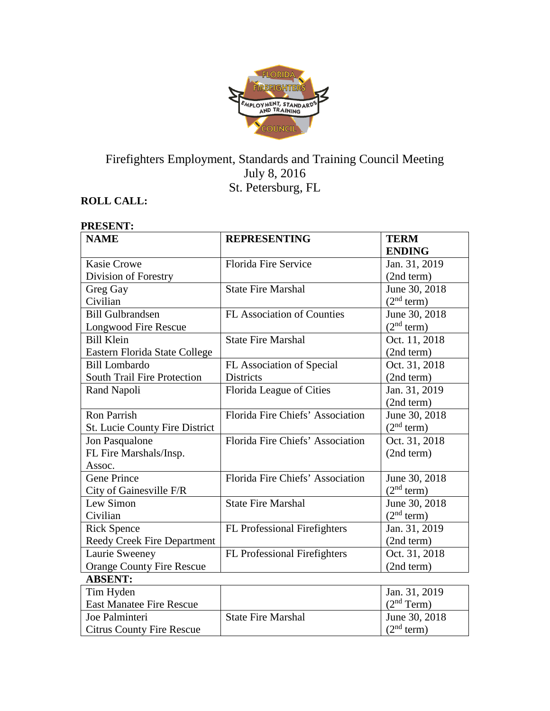

# Firefighters Employment, Standards and Training Council Meeting July 8, 2016 St. Petersburg, FL

# **ROLL CALL:**

#### **PRESENT: NAME REPRESENTING TERM ENDING** Kasie Crowe Division of Forestry Florida Fire Service Jan. 31, 2019 (2nd term) Greg Gay Civilian State Fire Marshal June 30, 2018  $\frac{(2^{nd} \text{ term})}{\text{June } 30, 2018}$ Bill Gulbrandsen Longwood Fire Rescue FL Association of Counties  $(2<sup>nd</sup> term)$ Bill Klein Eastern Florida State College State Fire Marshal  $\vert$  Oct. 11, 2018 (2nd term) Bill Lombardo South Trail Fire Protection FL Association of Special Districts Oct. 31, 2018 (2nd term) Rand Napoli Florida League of Cities Jan. 31, 2019 (2nd term) Ron Parrish St. Lucie County Fire District Florida Fire Chiefs' Association June 30, 2018  $(2<sup>nd</sup> term)$ Jon Pasqualone FL Fire Marshals/Insp. Assoc. Florida Fire Chiefs' Association | Oct. 31, 2018 (2nd term) Gene Prince City of Gainesville F/R Florida Fire Chiefs' Association | June 30, 2018  $(2<sup>nd</sup> term)$ Lew Simon Civilian State Fire Marshal June 30, 2018  $(2<sup>nd</sup> term)$ Rick Spence Reedy Creek Fire Department FL Professional Firefighters Jan. 31, 2019 (2nd term) Laurie Sweeney Orange County Fire Rescue FL Professional Firefighters | Oct. 31, 2018 (2nd term) **ABSENT:** Tim Hyden East Manatee Fire Rescue Jan. 31, 2019  $(2<sup>nd</sup> Term)$ Joe Palminteri Citrus County Fire Rescue State Fire Marshal June 30, 2018  $(2<sup>nd</sup> term)$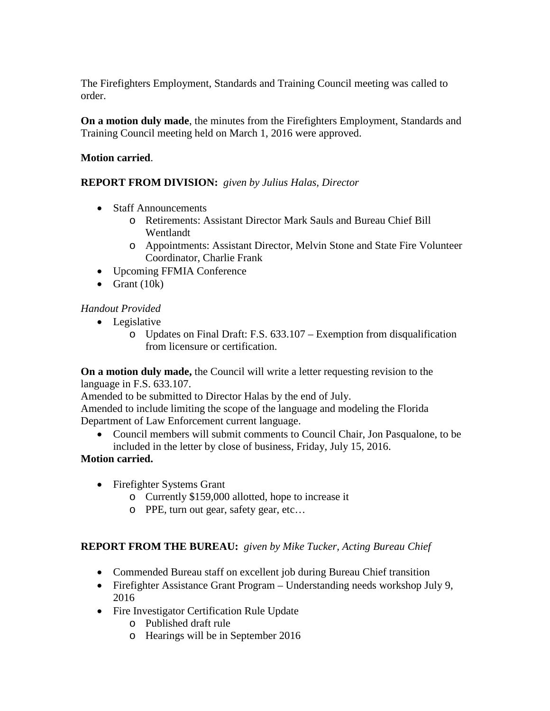The Firefighters Employment, Standards and Training Council meeting was called to order.

**On a motion duly made**, the minutes from the Firefighters Employment, Standards and Training Council meeting held on March 1, 2016 were approved.

# **Motion carried**.

# **REPORT FROM DIVISION:** *given by Julius Halas, Director*

- Staff Announcements
	- o Retirements: Assistant Director Mark Sauls and Bureau Chief Bill Wentlandt
	- o Appointments: Assistant Director, Melvin Stone and State Fire Volunteer Coordinator, Charlie Frank
- Upcoming FFMIA Conference
- Grant  $(10k)$

# *Handout Provided*

- Legislative
	- o Updates on Final Draft: F.S. 633.107 Exemption from disqualification from licensure or certification.

**On a motion duly made,** the Council will write a letter requesting revision to the language in F.S. 633.107.

Amended to be submitted to Director Halas by the end of July.

Amended to include limiting the scope of the language and modeling the Florida Department of Law Enforcement current language.

• Council members will submit comments to Council Chair, Jon Pasqualone, to be included in the letter by close of business, Friday, July 15, 2016.

### **Motion carried.**

- Firefighter Systems Grant
	- o Currently \$159,000 allotted, hope to increase it
	- o PPE, turn out gear, safety gear, etc…

### **REPORT FROM THE BUREAU:** *given by Mike Tucker, Acting Bureau Chief*

- Commended Bureau staff on excellent job during Bureau Chief transition
- Firefighter Assistance Grant Program Understanding needs workshop July 9, 2016
- Fire Investigator Certification Rule Update
	- o Published draft rule
	- o Hearings will be in September 2016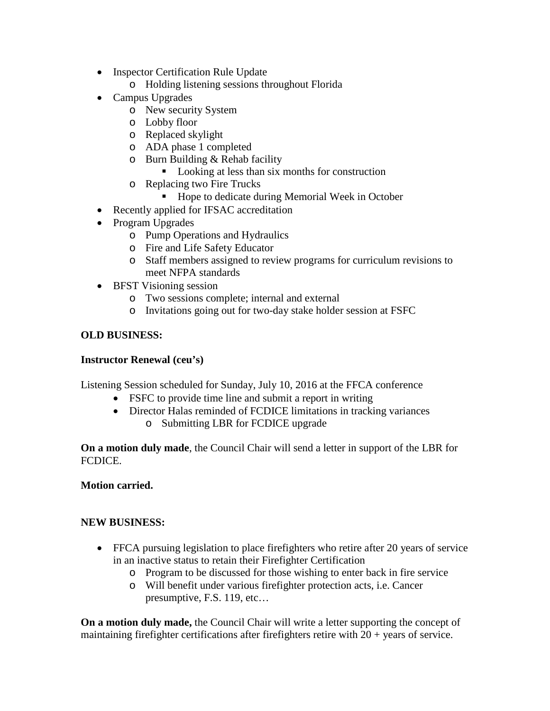- Inspector Certification Rule Update
	- o Holding listening sessions throughout Florida
- Campus Upgrades
	- o New security System
	- o Lobby floor
	- o Replaced skylight
	- o ADA phase 1 completed
	- o Burn Building & Rehab facility
		- Looking at less than six months for construction
	- o Replacing two Fire Trucks
		- Hope to dedicate during Memorial Week in October
- Recently applied for IFSAC accreditation
- Program Upgrades
	- o Pump Operations and Hydraulics
	- o Fire and Life Safety Educator
	- o Staff members assigned to review programs for curriculum revisions to meet NFPA standards
- BFST Visioning session
	- o Two sessions complete; internal and external
	- o Invitations going out for two-day stake holder session at FSFC

# **OLD BUSINESS:**

### **Instructor Renewal (ceu's)**

Listening Session scheduled for Sunday, July 10, 2016 at the FFCA conference

- FSFC to provide time line and submit a report in writing
- Director Halas reminded of FCDICE limitations in tracking variances
	- o Submitting LBR for FCDICE upgrade

**On a motion duly made**, the Council Chair will send a letter in support of the LBR for FCDICE.

### **Motion carried.**

### **NEW BUSINESS:**

- FFCA pursuing legislation to place firefighters who retire after 20 years of service in an inactive status to retain their Firefighter Certification
	- o Program to be discussed for those wishing to enter back in fire service
	- o Will benefit under various firefighter protection acts, i.e. Cancer presumptive, F.S. 119, etc…

**On a motion duly made,** the Council Chair will write a letter supporting the concept of maintaining firefighter certifications after firefighters retire with  $20 + \gamma$  years of service.